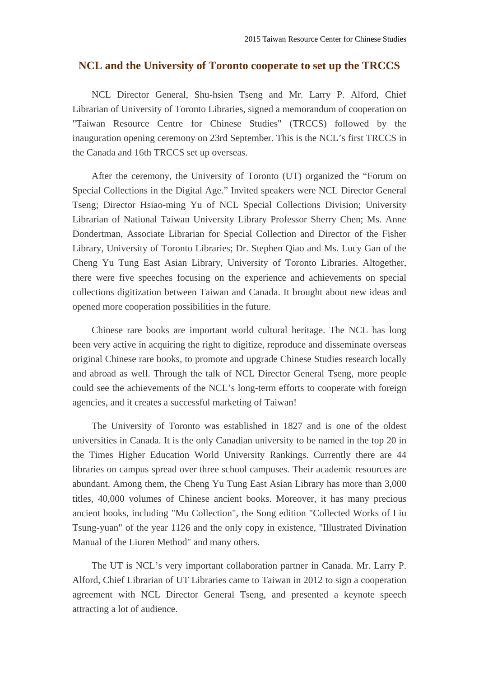## **NCL and the University of Toronto cooperate to set up the TRCCS**

NCL Director General, Shu-hsien Tseng and Mr. Larry P. Alford, Chief Librarian of University of Toronto Libraries, signed a memorandum of cooperation on "Taiwan Resource Centre for Chinese Studies" (TRCCS) followed by the inauguration opening ceremony on 23rd September. This is the NCL's first TRCCS in the Canada and 16th TRCCS set up overseas.

After the ceremony, the University of Toronto (UT) organized the "Forum on Special Collections in the Digital Age." Invited speakers were NCL Director General Tseng; Director Hsiao-ming Yu of NCL Special Collections Division; University Librarian of National Taiwan University Library Professor Sherry Chen; Ms. Anne Dondertman, Associate Librarian for Special Collection and Director of the Fisher Library, University of Toronto Libraries; Dr. Stephen Qiao and Ms. Lucy Gan of the Cheng Yu Tung East Asian Library, University of Toronto Libraries. Altogether, there were five speeches focusing on the experience and achievements on special collections digitization between Taiwan and Canada. It brought about new ideas and opened more cooperation possibilities in the future.

Chinese rare books are important world cultural heritage. The NCL has long been very active in acquiring the right to digitize, reproduce and disseminate overseas original Chinese rare books, to promote and upgrade Chinese Studies research locally and abroad as well. Through the talk of NCL Director General Tseng, more people could see the achievements of the NCL's long-term efforts to cooperate with foreign agencies, and it creates a successful marketing of Taiwan!

The University of Toronto was established in 1827 and is one of the oldest universities in Canada. It is the only Canadian university to be named in the top 20 in the Times Higher Education World University Rankings. Currently there are 44 libraries on campus spread over three school campuses. Their academic resources are abundant. Among them, the Cheng Yu Tung East Asian Library has more than 3,000 titles, 40,000 volumes of Chinese ancient books. Moreover, it has many precious ancient books, including "Mu Collection", the Song edition "Collected Works of Liu Tsung-yuan" of the year 1126 and the only copy in existence, "Illustrated Divination Manual of the Liuren Method" and many others.

The UT is NCL's very important collaboration partner in Canada. Mr. Larry P. Alford, Chief Librarian of UT Libraries came to Taiwan in 2012 to sign a cooperation agreement with NCL Director General Tseng, and presented a keynote speech attracting a lot of audience.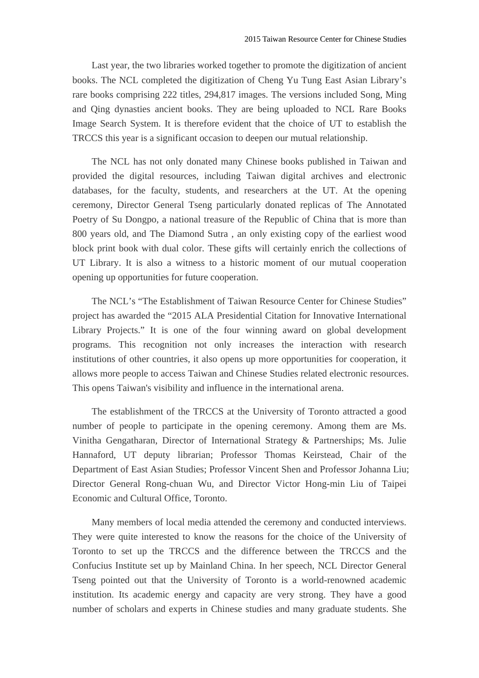Last year, the two libraries worked together to promote the digitization of ancient books. The NCL completed the digitization of Cheng Yu Tung East Asian Library's rare books comprising 222 titles, 294,817 images. The versions included Song, Ming and Qing dynasties ancient books. They are being uploaded to NCL Rare Books Image Search System. It is therefore evident that the choice of UT to establish the TRCCS this year is a significant occasion to deepen our mutual relationship.

The NCL has not only donated many Chinese books published in Taiwan and provided the digital resources, including Taiwan digital archives and electronic databases, for the faculty, students, and researchers at the UT. At the opening ceremony, Director General Tseng particularly donated replicas of The Annotated Poetry of Su Dongpo, a national treasure of the Republic of China that is more than 800 years old, and The Diamond Sutra , an only existing copy of the earliest wood block print book with dual color. These gifts will certainly enrich the collections of UT Library. It is also a witness to a historic moment of our mutual cooperation opening up opportunities for future cooperation.

The NCL's "The Establishment of Taiwan Resource Center for Chinese Studies" project has awarded the "2015 ALA Presidential Citation for Innovative International Library Projects." It is one of the four winning award on global development programs. This recognition not only increases the interaction with research institutions of other countries, it also opens up more opportunities for cooperation, it allows more people to access Taiwan and Chinese Studies related electronic resources. This opens Taiwan's visibility and influence in the international arena.

The establishment of the TRCCS at the University of Toronto attracted a good number of people to participate in the opening ceremony. Among them are Ms. Vinitha Gengatharan, Director of International Strategy & Partnerships; Ms. Julie Hannaford, UT deputy librarian; Professor Thomas Keirstead, Chair of the Department of East Asian Studies; Professor Vincent Shen and Professor Johanna Liu; Director General Rong-chuan Wu, and Director Victor Hong-min Liu of Taipei Economic and Cultural Office, Toronto.

Many members of local media attended the ceremony and conducted interviews. They were quite interested to know the reasons for the choice of the University of Toronto to set up the TRCCS and the difference between the TRCCS and the Confucius Institute set up by Mainland China. In her speech, NCL Director General Tseng pointed out that the University of Toronto is a world-renowned academic institution. Its academic energy and capacity are very strong. They have a good number of scholars and experts in Chinese studies and many graduate students. She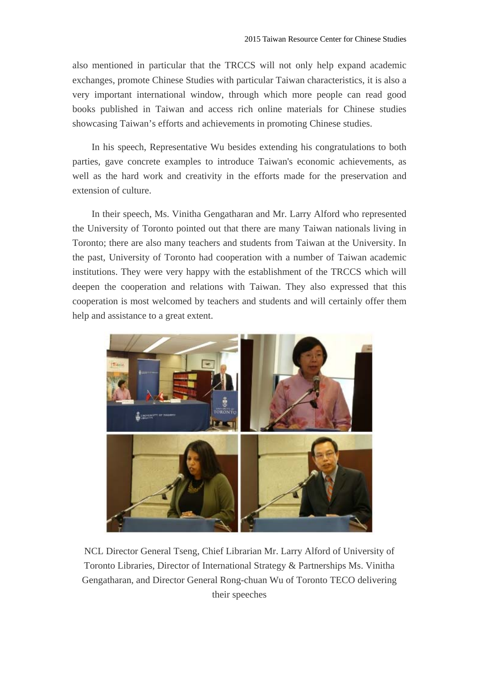also mentioned in particular that the TRCCS will not only help expand academic exchanges, promote Chinese Studies with particular Taiwan characteristics, it is also a very important international window, through which more people can read good books published in Taiwan and access rich online materials for Chinese studies showcasing Taiwan's efforts and achievements in promoting Chinese studies.

In his speech, Representative Wu besides extending his congratulations to both parties, gave concrete examples to introduce Taiwan's economic achievements, as well as the hard work and creativity in the efforts made for the preservation and extension of culture.

In their speech, Ms. Vinitha Gengatharan and Mr. Larry Alford who represented the University of Toronto pointed out that there are many Taiwan nationals living in Toronto; there are also many teachers and students from Taiwan at the University. In the past, University of Toronto had cooperation with a number of Taiwan academic institutions. They were very happy with the establishment of the TRCCS which will deepen the cooperation and relations with Taiwan. They also expressed that this cooperation is most welcomed by teachers and students and will certainly offer them help and assistance to a great extent.



NCL Director General Tseng, Chief Librarian Mr. Larry Alford of University of Toronto Libraries, Director of International Strategy & Partnerships Ms. Vinitha Gengatharan, and Director General Rong-chuan Wu of Toronto TECO delivering their speeches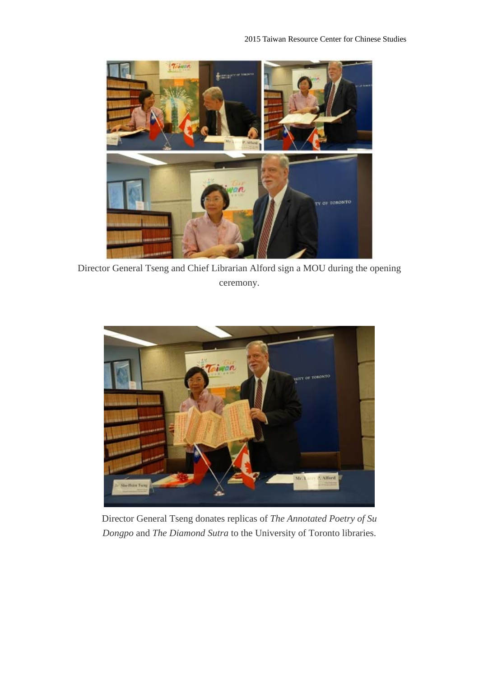

Director General Tseng and Chief Librarian Alford sign a MOU during the opening ceremony.



Director General Tseng donates replicas of *The Annotated Poetry of Su Dongpo* and *The Diamond Sutra* to the University of Toronto libraries.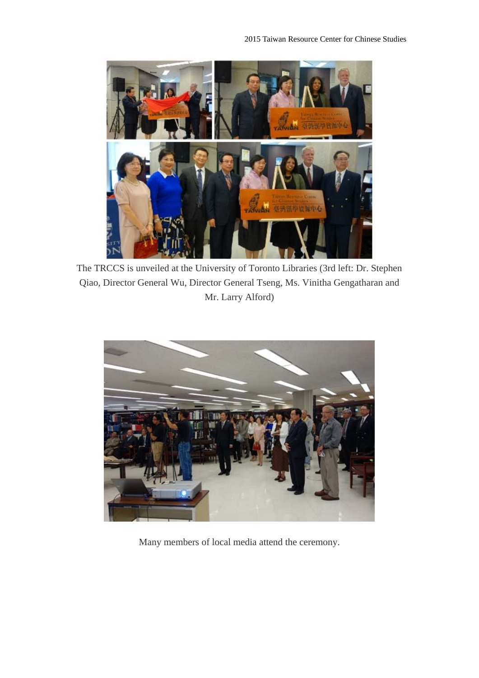

The TRCCS is unveiled at the University of Toronto Libraries (3rd left: Dr. Stephen Qiao, Director General Wu, Director General Tseng, Ms. Vinitha Gengatharan and Mr. Larry Alford)



Many members of local media attend the ceremony.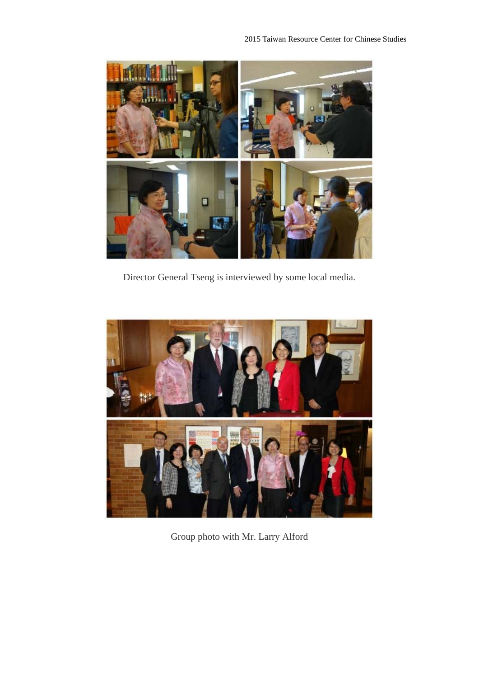

Director General Tseng is interviewed by some local media.



Group photo with Mr. Larry Alford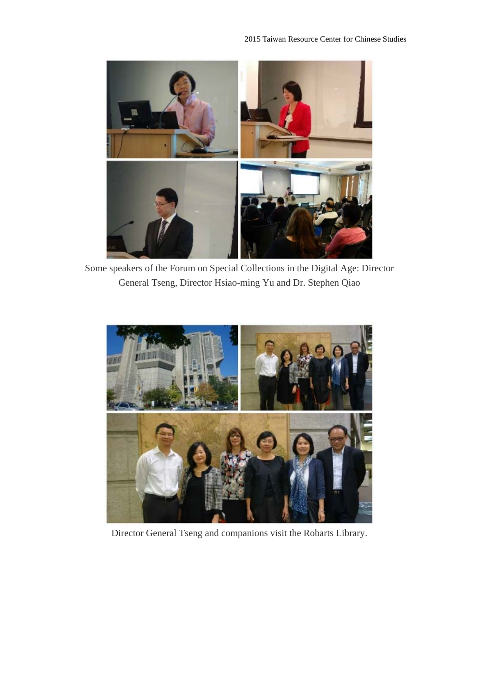

Some speakers of the Forum on Special Collections in the Digital Age: Director General Tseng, Director Hsiao-ming Yu and Dr. Stephen Qiao



Director General Tseng and companions visit the Robarts Library.